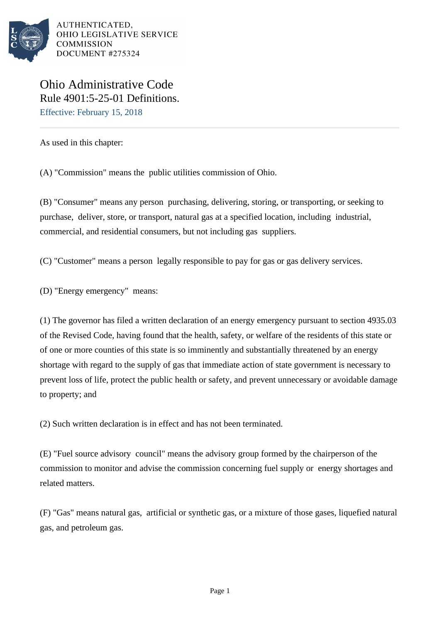

AUTHENTICATED. OHIO LEGISLATIVE SERVICE **COMMISSION** DOCUMENT #275324

Ohio Administrative Code Rule 4901:5-25-01 Definitions. Effective: February 15, 2018

As used in this chapter:

(A) "Commission" means the public utilities commission of Ohio.

(B) "Consumer" means any person purchasing, delivering, storing, or transporting, or seeking to purchase, deliver, store, or transport, natural gas at a specified location, including industrial, commercial, and residential consumers, but not including gas suppliers.

(C) "Customer" means a person legally responsible to pay for gas or gas delivery services.

(D) "Energy emergency" means:

(1) The governor has filed a written declaration of an energy emergency pursuant to section 4935.03 of the Revised Code, having found that the health, safety, or welfare of the residents of this state or of one or more counties of this state is so imminently and substantially threatened by an energy shortage with regard to the supply of gas that immediate action of state government is necessary to prevent loss of life, protect the public health or safety, and prevent unnecessary or avoidable damage to property; and

(2) Such written declaration is in effect and has not been terminated.

(E) "Fuel source advisory council" means the advisory group formed by the chairperson of the commission to monitor and advise the commission concerning fuel supply or energy shortages and related matters.

(F) "Gas" means natural gas, artificial or synthetic gas, or a mixture of those gases, liquefied natural gas, and petroleum gas.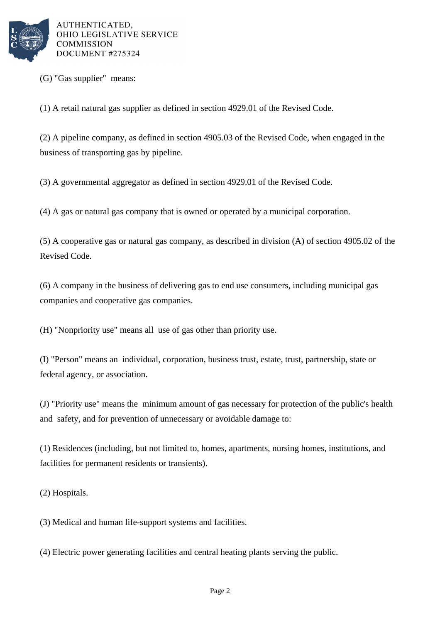

AUTHENTICATED. OHIO LEGISLATIVE SERVICE **COMMISSION** DOCUMENT #275324

(G) "Gas supplier" means:

(1) A retail natural gas supplier as defined in section 4929.01 of the Revised Code.

(2) A pipeline company, as defined in section 4905.03 of the Revised Code, when engaged in the business of transporting gas by pipeline.

(3) A governmental aggregator as defined in section 4929.01 of the Revised Code.

(4) A gas or natural gas company that is owned or operated by a municipal corporation.

 $(5)$  A cooperative gas or natural gas company, as described in division  $(A)$  of section 4905.02 of the Revised Code.

 $(6)$  A company in the business of delivering gas to end use consumers, including municipal gas companies and cooperative gas companies.

(H) "Nonpriority use" means all use of gas other than priority use.

(I) "Person" means an individual, corporation, business trust, estate, trust, partnership, state or federal agency, or association.

(J) "Priority use" means the minimum amount of gas necessary for protection of the public's health and safety, and for prevention of unnecessary or avoidable damage to:

(1) Residences (including, but not limited to, homes, apartments, nursing homes, institutions, and facilities for permanent residents or transients).

(2) Hospitals.

(3) Medical and human life-support systems and facilities.

(4) Electric power generating facilities and central heating plants serving the public.